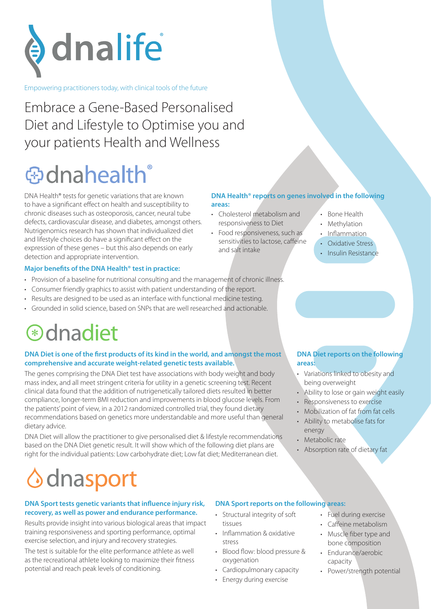

Empowering practitioners today, with clinical tools of the future

Embrace a Gene-Based Personalised Diet and Lifestyle to Optimise you and your patients Health and Wellness

# **⊕dnahealth**

DNA Health® tests for genetic variations that are known to have a significant effect on health and susceptibility to chronic diseases such as osteoporosis, cancer, neural tube defects, cardiovascular disease, and diabetes, amongst others. Nutrigenomics research has shown that individualized diet and lifestyle choices do have a significant effect on the expression of these genes – but this also depends on early detection and appropriate intervention.

#### **Major benefits of the DNA Health® test in practice:**

- Provision of a baseline for nutritional consulting and the management of chronic illness.
- Consumer friendly graphics to assist with patient understanding of the report.
- Results are designed to be used as an interface with functional medicine testing.
- Grounded in solid science, based on SNPs that are well researched and actionable.

### **<sup>\*</sup>**dnadiet

#### **DNA Diet is one of the first products of its kind in the world, and amongst the most comprehensive and accurate weight-related genetic tests available.**

The genes comprising the DNA Diet test have associations with body weight and body mass index, and all meet stringent criteria for utility in a genetic screening test. Recent clinical data found that the addition of nutrigenetically tailored diets resulted in better compliance, longer-term BMI reduction and improvements in blood glucose levels. From the patients' point of view, in a 2012 randomized controlled trial, they found dietary recommendations based on genetics more understandable and more useful than general dietary advice.

DNA Diet will allow the practitioner to give personalised diet & lifestyle recommendations based on the DNA Diet genetic result. It will show which of the following diet plans are right for the individual patients: Low carbohydrate diet; Low fat diet; Mediterranean diet.

#### **DNA Health® reports on genes involved in the following areas:**

- Cholesterol metabolism and responsiveness to Diet
- Food responsiveness, such as sensitivities to lactose, caffeine and salt intake
- Bone Health
- **Methylation**
- **Inflammation**
- Oxidative Stress
- Insulin Resistance

### **DNA Diet reports on the following areas:**

- Variations linked to obesity and being overweight
- Ability to lose or gain weight easily
- Responsiveness to exercise
- Mobilization of fat from fat cells
- Ability to metabolise fats for energy
- Metabolic rate
- Absorption rate of dietary fat

## dnasport

#### **DNA Sport tests genetic variants that influence injury risk, recovery, as well as power and endurance performance.**

Results provide insight into various biological areas that impact training responsiveness and sporting performance, optimal exercise selection, and injury and recovery strategies.

The test is suitable for the elite performance athlete as well as the recreational athlete looking to maximize their fitness potential and reach peak levels of conditioning.

### **DNA Sport reports on the following areas:**

- Structural integrity of soft tissues
- Inflammation & oxidative stress
- Blood flow: blood pressure & oxygenation
- Cardiopulmonary capacity
- Energy during exercise
- Fuel during exercise
- Caffeine metabolism
- Muscle fiber type and bone composition
- Endurance/aerobic capacity
- Power/strength potential